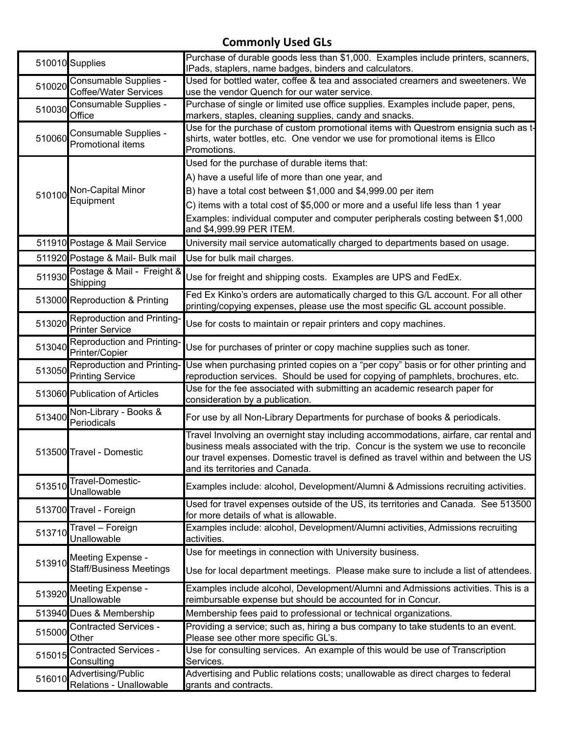## **Commonly Used GLs**

|        | 510010 Supplies                                       | Purchase of durable goods less than \$1,000. Examples include printers, scanners,<br>IPads, staplers, name badges, binders and calculators.                                                                                                                                                                                                                        |
|--------|-------------------------------------------------------|--------------------------------------------------------------------------------------------------------------------------------------------------------------------------------------------------------------------------------------------------------------------------------------------------------------------------------------------------------------------|
| 510020 | Consumable Supplies -<br>Coffee/Water Services        | Used for bottled water, coffee & tea and associated creamers and sweeteners. We<br>use the vendor Quench for our water service.                                                                                                                                                                                                                                    |
| 510030 | Consumable Supplies -<br>Office                       | Purchase of single or limited use office supplies. Examples include paper, pens,<br>markers, staples, cleaning supplies, candy and snacks.                                                                                                                                                                                                                         |
| 510060 | Consumable Supplies -<br>Promotional items            | Use for the purchase of custom promotional items with Questrom ensignia such as t-<br>shirts, water bottles, etc. One vendor we use for promotional items is Ellco<br>Promotions.                                                                                                                                                                                  |
| 510100 | Non-Capital Minor<br>Equipment                        | Used for the purchase of durable items that:<br>A) have a useful life of more than one year, and<br>B) have a total cost between \$1,000 and \$4,999.00 per item<br>C) items with a total cost of \$5,000 or more and a useful life less than 1 year<br>Examples: individual computer and computer peripherals costing between \$1,000<br>and \$4,999.99 PER ITEM. |
|        | 511910 Postage & Mail Service                         | University mail service automatically charged to departments based on usage.                                                                                                                                                                                                                                                                                       |
|        | 511920 Postage & Mail- Bulk mail                      | Use for bulk mail charges.                                                                                                                                                                                                                                                                                                                                         |
| 511930 | Postage & Mail - Freight &<br>Shipping                | Use for freight and shipping costs. Examples are UPS and FedEx.                                                                                                                                                                                                                                                                                                    |
|        | 513000 Reproduction & Printing                        | Fed Ex Kinko's orders are automatically charged to this G/L account. For all other<br>printing/copying expenses, please use the most specific GL account possible.                                                                                                                                                                                                 |
| 513020 | Reproduction and Printing-<br><b>Printer Service</b>  | Use for costs to maintain or repair printers and copy machines.                                                                                                                                                                                                                                                                                                    |
|        | Reproduction and Printing-<br>513040 Printer/Copier   | Use for purchases of printer or copy machine supplies such as toner.                                                                                                                                                                                                                                                                                               |
| 513050 | Reproduction and Printing-<br><b>Printing Service</b> | Use when purchasing printed copies on a "per copy" basis or for other printing and<br>reproduction services. Should be used for copying of pamphlets, brochures, etc.                                                                                                                                                                                              |
|        | 513060 Publication of Articles                        | Use for the fee associated with submitting an academic research paper for<br>consideration by a publication.                                                                                                                                                                                                                                                       |
| 513400 | Non-Library - Books &<br>Periodicals                  | For use by all Non-Library Departments for purchase of books & periodicals.                                                                                                                                                                                                                                                                                        |
|        | 513500 Travel - Domestic                              | Travel Involving an overnight stay including accommodations, airfare, car rental and<br>business meals associated with the trip. Concur is the system we use to reconcile<br>our travel expenses. Domestic travel is defined as travel within and between the US<br>and its territories and Canada.                                                                |
| 513510 | Travel-Domestic-<br><b>Unallowable</b>                | Examples include: alcohol, Development/Alumni & Admissions recruiting activities.                                                                                                                                                                                                                                                                                  |
|        | 513700 Travel - Foreign                               | Used for travel expenses outside of the US, its territories and Canada. See 513500<br>for more details of what is allowable.                                                                                                                                                                                                                                       |
| 513710 | Travel – Foreign<br>Unallowable                       | Examples include: alcohol, Development/Alumni activities, Admissions recruiting<br>activities.                                                                                                                                                                                                                                                                     |
| 513910 | Meeting Expense -<br><b>Staff/Business Meetings</b>   | Use for meetings in connection with University business.<br>Use for local department meetings. Please make sure to include a list of attendees.                                                                                                                                                                                                                    |
| 513920 | Meeting Expense -<br><b>Unallowable</b>               | Examples include alcohol, Development/Alumni and Admissions activities. This is a<br>reimbursable expense but should be accounted for in Concur.                                                                                                                                                                                                                   |
|        | 513940 Dues & Membership                              | Membership fees paid to professional or technical organizations.                                                                                                                                                                                                                                                                                                   |
| 515000 | <b>Contracted Services -</b><br>Other                 | Providing a service; such as, hiring a bus company to take students to an event.<br>Please see other more specific GL's.                                                                                                                                                                                                                                           |
| 515015 | <b>Contracted Services -</b><br>Consulting            | Use for consulting services. An example of this would be use of Transcription<br>Services.                                                                                                                                                                                                                                                                         |
| 516010 | Advertising/Public<br>Relations - Unallowable         | Advertising and Public relations costs; unallowable as direct charges to federal<br>grants and contracts.                                                                                                                                                                                                                                                          |